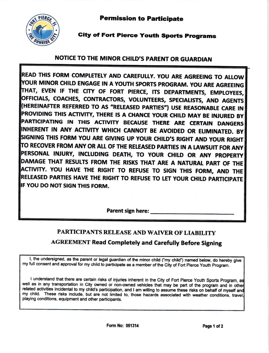Permission to Participate



## **City of Fort Pierce Youth Sports Programs**

## NOTICE TO THE MINOR CHILD'S PARENT OR GUARDIAN

READ THIS FORM COMPLETELY AND CAREFULLY. YOU ARE AGREEING TO ALLOW YOUR MINOR CHILD ENGAGE IN A YOUTH SPORTS PROGRAM. YOU ARE AGREEING AT, EVEN IF THE CITY OF FORT PIERCE, ITS DEPARTMENTS, EMPLOYEES, OFFICIALS, COACHES, CONTRACTORS, VOLUNTEERS, SPECIALISTS, AND AGENTS (HEREINAFTER REFERRED TO AS "RELEASED PARTIES") USE REASONABLE CARE IN PROVIDING THIS ACTIVITY, THERE IS A CHANCE YOUR CHILD MAY BE INJURED BY PARTICIPATING IN THIS ACTIVITY BECAUSE THERE ARE CERTAIN DANGERS INHERENT IN ANY ACTIVITY WHICH CANNOT BE AVOIDED OR ELIMINATED. BY SIGNING THIS FORM YOU ARE GIVING UP YOUR CHILD'S RIGHT AND YOUR RIGHT TO RECOVER FROM ANY OR ALL OF THE RELEASED PARTIES IN A LAWSUIT FOR ANY PERSONAL INJURY, INCLUDING DEATH, TO YOUR CHILD OR ANY PROPERTY DAMAGE THAT RESULTS FROM THE RISKS THAT ARE A NATURAL PART OF THE ACTIVITY. YOU HAVE THE RIGHT TO REFUSE TO SIGN THIS FORM, AND THE RELEASED PARTIES HAVE THE RIGHT TO REFUSE TO LET YOUR CHILD PARTICIPATE IF YOU DO NOT SIGN THIS FORM.

Parent sign here:

## PARTICIPANTS RELEASE AND WAIVER OF LIABILITY AGREEMENT Read Completely and Carefully Before Signing

I, the undersigned, as the parent or legal guardian of the minor child ("my child") named below, do hereby give my full consent and approval for my child to participate as a member of the City of Fort Pierce Youth Program.

I understand that there are certain risks of injuries inherent in the City of Fort Pierce Youth Sports Program, as well as in any transportation in City owned or non-owned vehicles that may be part of the program and in other related activities incidental to my child's participation, and I am willing to assume these risks on behalf of myself and my child. These risks include, but are not limited to, those hazards associated with weather conditions, travel playing conditions, equipment and other participants.